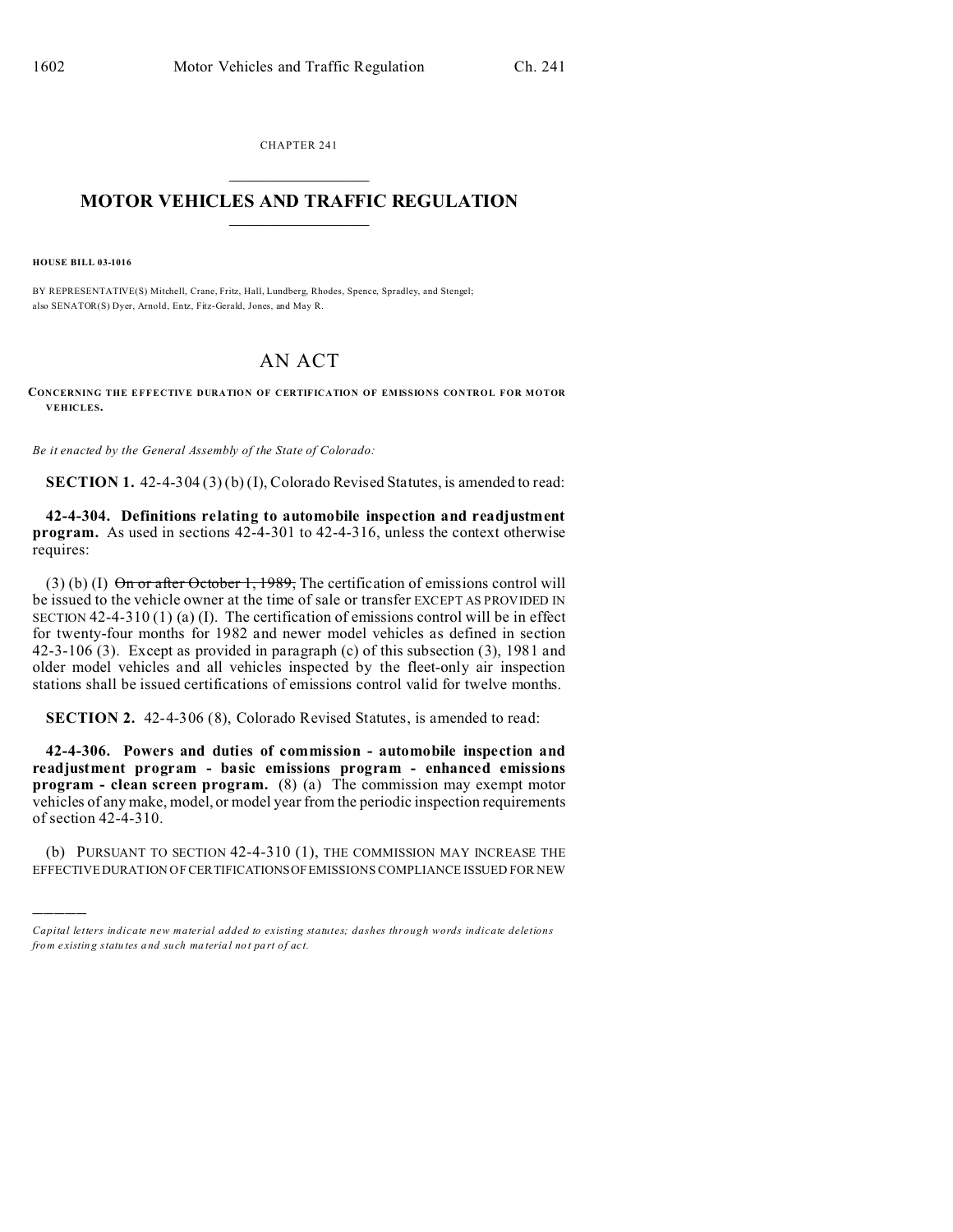CHAPTER 241  $\overline{\phantom{a}}$  , where  $\overline{\phantom{a}}$ 

## **MOTOR VEHICLES AND TRAFFIC REGULATION**  $\frac{1}{2}$  ,  $\frac{1}{2}$  ,  $\frac{1}{2}$  ,  $\frac{1}{2}$  ,  $\frac{1}{2}$  ,  $\frac{1}{2}$  ,  $\frac{1}{2}$

**HOUSE BILL 03-1016**

)))))

BY REPRESENTATIVE(S) Mitchell, Crane, Fritz, Hall, Lundberg, Rhodes, Spence, Spradley, and Stengel; also SENATOR(S) Dyer, Arnold, Entz, Fitz-Gerald, Jones, and May R.

## AN ACT

**CONCERNING THE EFFECTIVE DURATION OF CERTIFICATION OF EMISSIONS CONTROL FOR MOTOR VEHICLES.**

*Be it enacted by the General Assembly of the State of Colorado:*

**SECTION 1.** 42-4-304 (3) (b) (I), Colorado Revised Statutes, is amended to read:

**42-4-304. Definitions relating to automobile inspection and readjustment program.** As used in sections 42-4-301 to 42-4-316, unless the context otherwise requires:

(3) (b) (I)  $\Theta$ n or after October 1, 1989, The certification of emissions control will be issued to the vehicle owner at the time of sale or transfer EXCEPT AS PROVIDED IN SECTION 42-4-310 (1) (a) (I). The certification of emissions control will be in effect for twenty-four months for 1982 and newer model vehicles as defined in section 42-3-106 (3). Except as provided in paragraph (c) of this subsection (3), 1981 and older model vehicles and all vehicles inspected by the fleet-only air inspection stations shall be issued certifications of emissions control valid for twelve months.

**SECTION 2.** 42-4-306 (8), Colorado Revised Statutes, is amended to read:

**42-4-306. Powers and duties of commission - automobile inspection and readjustment program - basic emissions program - enhanced emissions program - clean screen program.** (8) (a) The commission may exempt motor vehicles of any make, model, or model year from the periodic inspection requirements of section 42-4-310.

(b) PURSUANT TO SECTION 42-4-310 (1), THE COMMISSION MAY INCREASE THE EFFECTIVE DURATION OF CERTIFICATIONSOFEMISSIONS COMPLIANCE ISSUED FOR NEW

*Capital letters indicate new material added to existing statutes; dashes through words indicate deletions from e xistin g statu tes a nd such ma teria l no t pa rt of ac t.*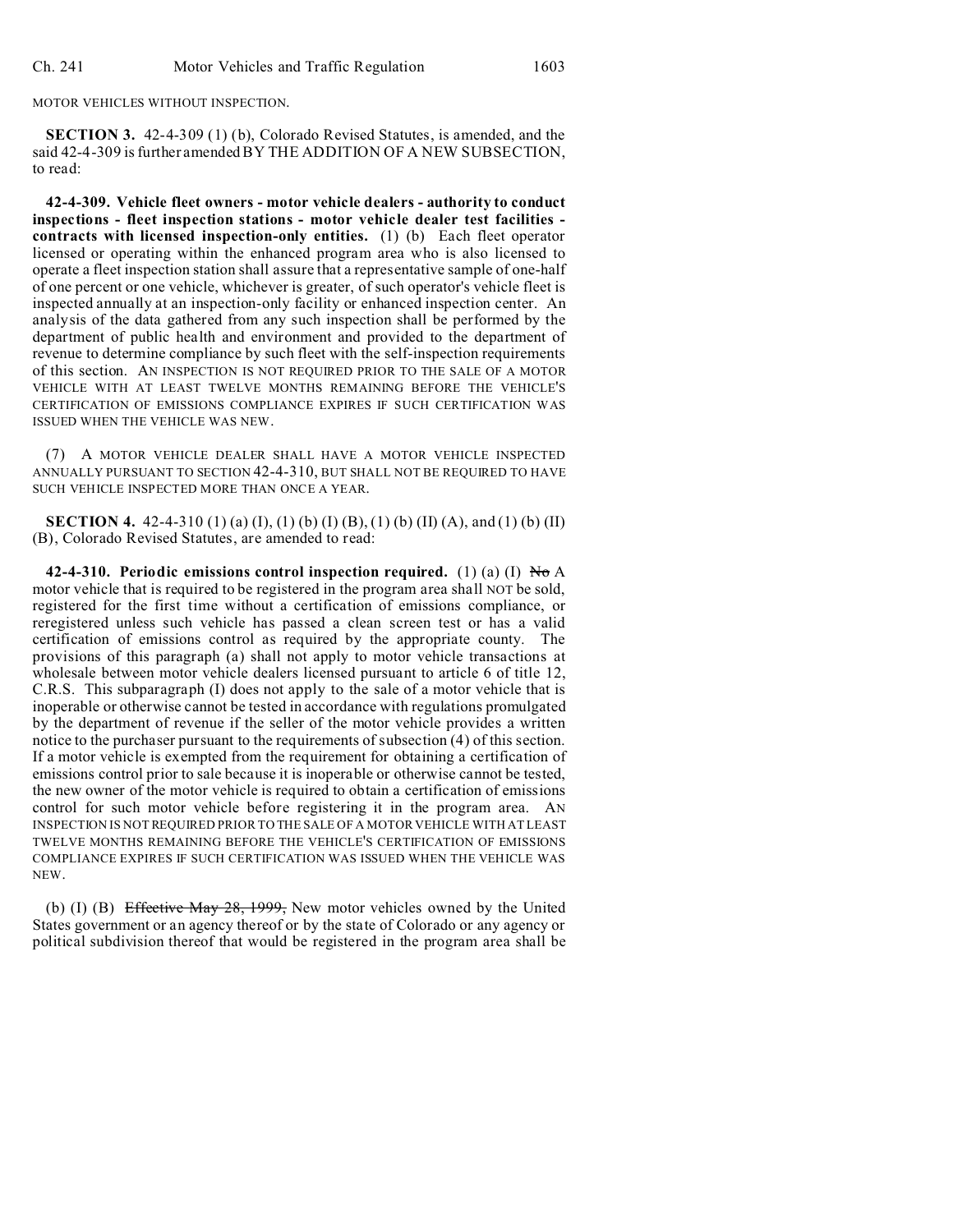MOTOR VEHICLES WITHOUT INSPECTION.

**SECTION 3.** 42-4-309 (1) (b), Colorado Revised Statutes, is amended, and the said 42-4-309 is further amended BY THE ADDITION OF A NEW SUBSECTION, to read:

**42-4-309. Vehicle fleet owners - motor vehicle dealers - authority to conduct inspections - fleet inspection stations - motor vehicle dealer test facilities contracts with licensed inspection-only entities.** (1) (b) Each fleet operator licensed or operating within the enhanced program area who is also licensed to operate a fleet inspection station shall assure that a representative sample of one-half of one percent or one vehicle, whichever is greater, of such operator's vehicle fleet is inspected annually at an inspection-only facility or enhanced inspection center. An analysis of the data gathered from any such inspection shall be performed by the department of public health and environment and provided to the department of revenue to determine compliance by such fleet with the self-inspection requirements of this section. AN INSPECTION IS NOT REQUIRED PRIOR TO THE SALE OF A MOTOR VEHICLE WITH AT LEAST TWELVE MONTHS REMAINING BEFORE THE VEHICLE'S CERTIFICATION OF EMISSIONS COMPLIANCE EXPIRES IF SUCH CERTIFICATION WAS ISSUED WHEN THE VEHICLE WAS NEW.

(7) A MOTOR VEHICLE DEALER SHALL HAVE A MOTOR VEHICLE INSPECTED ANNUALLY PURSUANT TO SECTION 42-4-310, BUT SHALL NOT BE REQUIRED TO HAVE SUCH VEHICLE INSPECTED MORE THAN ONCE A YEAR.

**SECTION 4.** 42-4-310 (1) (a) (I), (1) (b) (I) (B), (1) (b) (II) (A), and (1) (b) (II) (B), Colorado Revised Statutes, are amended to read:

**42-4-310. Periodic emissions control inspection required.** (1) (a) (I)  $N\sigma A$ motor vehicle that is required to be registered in the program area shall NOT be sold, registered for the first time without a certification of emissions compliance, or reregistered unless such vehicle has passed a clean screen test or has a valid certification of emissions control as required by the appropriate county. The provisions of this paragraph (a) shall not apply to motor vehicle transactions at wholesale between motor vehicle dealers licensed pursuant to article 6 of title 12, C.R.S. This subparagraph (I) does not apply to the sale of a motor vehicle that is inoperable or otherwise cannot be tested in accordance with regulations promulgated by the department of revenue if the seller of the motor vehicle provides a written notice to the purchaser pursuant to the requirements of subsection (4) of this section. If a motor vehicle is exempted from the requirement for obtaining a certification of emissions control prior to sale because it is inoperable or otherwise cannot be tested, the new owner of the motor vehicle is required to obtain a certification of emissions control for such motor vehicle before registering it in the program area. AN INSPECTION IS NOT REQUIRED PRIOR TO THE SALE OF A MOTOR VEHICLE WITH AT LEAST TWELVE MONTHS REMAINING BEFORE THE VEHICLE'S CERTIFICATION OF EMISSIONS COMPLIANCE EXPIRES IF SUCH CERTIFICATION WAS ISSUED WHEN THE VEHICLE WAS NEW.

(b) (I) (B) Effective May 28, 1999, New motor vehicles owned by the United States government or an agency thereof or by the state of Colorado or any agency or political subdivision thereof that would be registered in the program area shall be